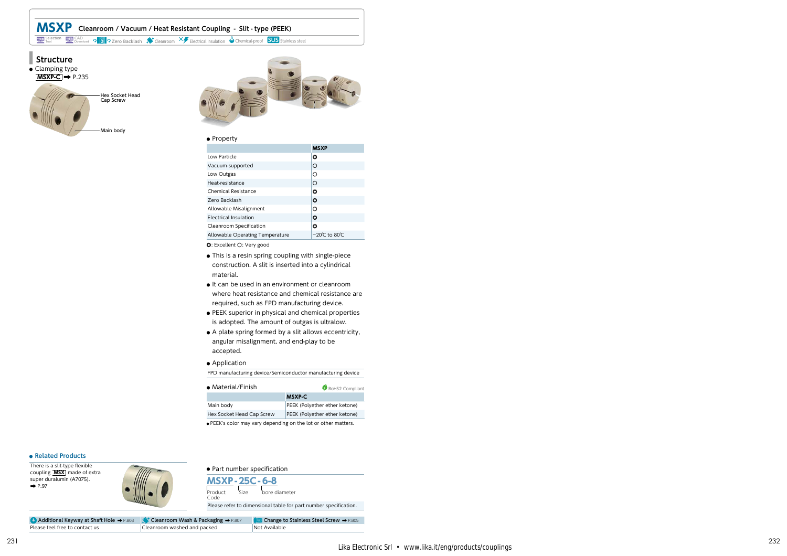





### **●** Property

|                                 | <b>MSXP</b>                        |
|---------------------------------|------------------------------------|
| Low Particle                    | ٥                                  |
| Vacuum-supported                | O                                  |
| Low Outgas                      | Ω                                  |
| Heat-resistance                 | ∩                                  |
| Chemical Resistance             | ٥                                  |
| Zero Backlash                   | ٥                                  |
| Allowable Misalignment          | Ω                                  |
| Electrical Insulation           | ٥                                  |
| Cleanroom Specification         | ٥                                  |
| Allowable Operating Temperature | $-20^{\circ}$ C to 80 $^{\circ}$ C |

◎: Excellent ○: Very good

- **●** This is a resin spring coupling with single-piece construction. A slit is inserted into a cylindrical material.
- **●** It can be used in an environment or cleanroom where heat resistance and chemical resistance are required, such as FPD manufacturing device.
- **●** PEEK superior in physical and chemical properties is adopted. The amount of outgas is ultralow.
- **●** A plate spring formed by a slit allows eccentricity, angular misalignment, and end-play to be accepted.

## **●** Application

FPD manufacturing device/Semiconductor manufacturing device

| • Material/Finish                                              | RoHS2 Compliant                                                |  |  |
|----------------------------------------------------------------|----------------------------------------------------------------|--|--|
|                                                                | <b>MSXP-C</b>                                                  |  |  |
| Main body                                                      | PEEK (Polyether ether ketone)<br>PEEK (Polyether ether ketone) |  |  |
| Hex Socket Head Cap Screw                                      |                                                                |  |  |
| . PEEK's color may vary depending on the lot or other matters. |                                                                |  |  |

# **● Related Products**

There is a slit-type flexible coupling **MSX** made of extra super duralumin (A7075).<br>→ P.97



**●** Part number specification **MSXP -25C- 6-8** Product Code Size bore diameter Please refer to dimensional table for part number specification.

Additional Keyway at Shaft Hole → P.803 (Veanroom Wash & Packaging → P.807 (WI Change to Stainless Steel Screw → P.805 Please feel free to contact us Cleanroom washed and packed Not Available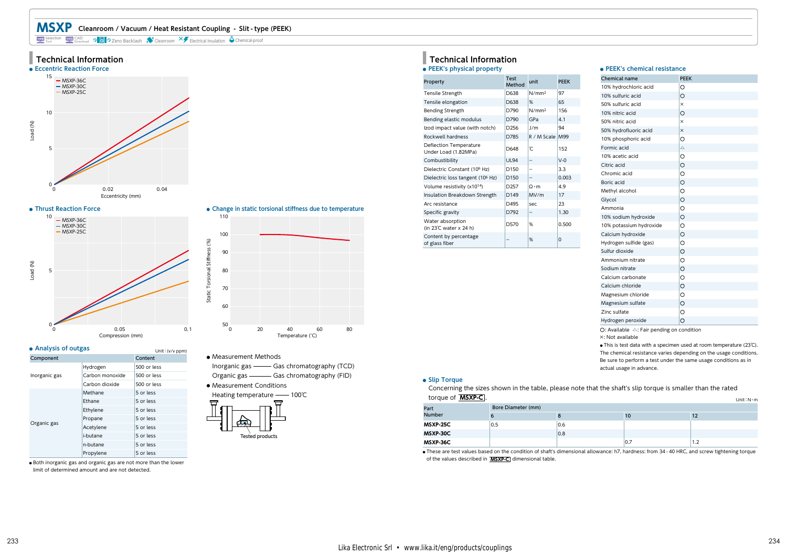# **MSXP Cleanroom / Vacuum / Heat Resistant Coupling - Slit - type (PEEK)**

Selection WEB CAD **DD** 2 Zero Backlash Cleanroom X Electrical Insulation Chemical-proof







| • Analysis of outgas |                 | Unit: (v/v ppm) |
|----------------------|-----------------|-----------------|
| Component            |                 | Content         |
|                      | Hydrogen        | 500 or less     |
| Inorganic gas        | Carbon monoxide | 500 or less     |
|                      | Carbon dioxide  | 500 or less     |
|                      | Methane         | 5 or less       |
|                      | Ethane          | 5 or less       |
|                      | Ethylene        | 5 or less       |
|                      | Propane         | 5 or less       |
| Organic gas          | Acetylene       | 5 or less       |
|                      | <i>i-butane</i> | 5 or less       |
|                      | n-butane        | 5 or less       |
|                      | Propylene       | 5 or less       |





**●** Measurement Methods

Inorganic gas - Gas chromatography (TCD) Organic gas - Gas chromatography (FID)

**●** Measurement Conditions



# **● PEEK's physical property ■ Technical Information**

| Property                                       | Test<br>Method   | unit                     | <b>PEEK</b> |
|------------------------------------------------|------------------|--------------------------|-------------|
| Tensile Strength                               | D638             | N/mm <sup>2</sup>        | 97          |
| Tensile elongation                             | D638             | %                        | 65          |
| <b>Bending Strength</b>                        | D790             | N/mm <sup>2</sup>        | 156         |
| Bending elastic modulus                        | D790             | GPa                      | 4.1         |
| Izod impact value (with notch)                 | D <sub>256</sub> | 1/m                      | 94          |
| Rockwell hardness                              | D785             | R / M Scale              | M99         |
| Deflection Temperature<br>Under Load (1.82MPa) | D648             | ρĈ                       | 152         |
| Combustibility                                 | <b>UL94</b>      |                          | $V-0$       |
| Dielectric Constant (10 <sup>6</sup> Hz)       | D <sub>150</sub> | $\overline{\phantom{0}}$ | 3.3         |
| Dielectric loss tangent (10 <sup>6</sup> Hz)   | D <sub>150</sub> |                          | 0.003       |
| Volume resistivity (x1014)                     | D <sub>257</sub> | $O \cdot m$              | 4.9         |
| Insulation Breakdown Strength                  | D149             | MV/m                     | 17          |
| Arc resistance                                 | D495             | sec                      | 23          |
| Specific gravity                               | D792             | $\qquad \qquad -$        | 1.30        |
| Water absorption<br>(in 23℃ water x 24 h)      | D570             | %                        | 0.500       |
| Content by percentage<br>of glass fiber        |                  | %                        | $\Omega$    |

## **● PEEK's chemical resistance**

| O<br>О<br>$\times$<br>O<br>×<br>× |
|-----------------------------------|
|                                   |
|                                   |
|                                   |
|                                   |
|                                   |
|                                   |
| O                                 |
| Δ                                 |
| O                                 |
| O                                 |
| Ō                                 |
| Ō                                 |
| O                                 |
| Ō                                 |
| $\circ$                           |
| Ō                                 |
| O                                 |
| $\circ$                           |
| $\circ$                           |
| Ō                                 |
| O                                 |
| $\circ$                           |
| O                                 |
| O                                 |
| O                                 |
| $\circ$                           |
| $\circ$                           |
| O                                 |
|                                   |

 $O:$  Available  $\triangle$ : Fair pending on condition

×: Not available

**●** This is test data with a specimen used at room temperature (23℃). The chemical resistance varies depending on the usage conditions. Be sure to perform a test under the same usage conditions as in actual usage in advance.

# **● Slip Torque**

Concerning the sizes shown in the table, please note that the shaft's slip torque is smaller than the rated torque of **MSXP-C** . Unit:N・m

|                 |                    |     |     | UNIL N'IN |  |  |
|-----------------|--------------------|-----|-----|-----------|--|--|
| Part            | Bore Diameter (mm) |     |     |           |  |  |
| <b>Number</b>   |                    |     | 10  | 14        |  |  |
| MSXP-25C        | 0.5                | 0.6 |     |           |  |  |
| <b>MSXP-30C</b> |                    | 0.8 |     |           |  |  |
| MSXP-36C        |                    |     | 0.7 | 1.2       |  |  |

**●** These are test values based on the condition of shaft's dimensional allowance: h7, hardness: from 34 - 40 HRC, and screw tightening torque of the values described in **MSXP-C** dimensional table.